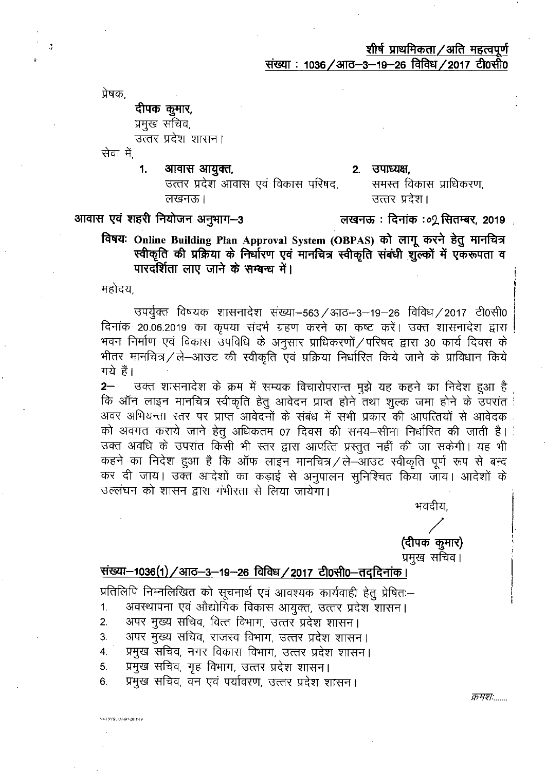प्रेषक.

J

### दीपक कुमार, प्रमुख सचिव,

उत्तर प्रदेश शासन।

सेवा में.

1. आवास आयुक्त,

#### 2. उपाध्यक्ष.

उत्तर प्रदेश आवास एवं विकास परिषद. लखनऊ।

उत्तर प्रदेश। लखनऊ : दिनांक :०2 सितम्बर, 2019 ़

समस्त विकास प्राधिकरण.

## आवास एवं शहरी नियोजन अनुभाग-3

विषयः Online Building Plan Approval System (OBPAS) को लागू करने हेतु मानचित्र स्वीकृति की प्रक्रिया के निर्धारण एवं मानचित्र स्वीकृति संबंधी शुल्कों में एक रूपता व पारदर्शिता लाए जाने के सम्बन्ध में।

महोदय

**SO-3 SYSTEM-GO-2018-19** 

उपर्युक्त विषयक शासनादेश संख्या-563 / आठ--3-19-26 विविध / 2017 टी0सी0 दिनांक 20.06.2019 का कृपया संदर्भ ग्रहण करने का कष्ट करें। उक्त शासनादेश द्वारा | भवन निर्माण एवं विकास उपविधि के अनुसार प्राधिकरणों / परिषद द्वारा 30 कार्य दिवस के भीतर मानचित्र/ले-आउट की स्वीकृति एवं प्रक्रिया निर्धारित किये जाने के प्राविधान किये गये हैं।

उक्त शासनादेश के क्रम में सम्यक विचारोपरान्त मुझे यह कहने का निदेश हुआ है  $2-$ कि ऑन लाइन मानचित्र स्वीकृति हेतु आवेदन प्राप्त होने तथा शुल्क जमा होने के उपरांत अवर अभियन्ता स्तर पर प्राप्त आवेदनों के संबंध में सभी प्रकार की आपत्तियों से आवेदक को अवगत कराये जाने हेतू अधिकतम 07 दिवस की समय–सीमा निर्धारित की जाती है। उक्त अवधि के उपरांत किसी भी स्तर द्वारा आपत्ति प्रस्तुत नहीं की जा सकेगी। यह भी कहने का निदेश हुआ है कि ऑफ लाइन मानचित्र / ले-आउट स्वीकृति पूर्ण रूप से बन्द कर दी जाय। उक्त आदेशों का कड़ाई से अनुपालन सुनिश्चित किया जाय। आदेशों के उल्लंघन को शासन द्वारा गंभीरता से लिया जायेगा।

भवदीय.

# (दीपक कूमार)

प्रमुख सचिव।

## संख्या-1036(1) / आठ-3-19-26 विविध / 2017 टी0सी0-तददिनांक।

प्रतिलिपि निम्नलिखित को सूचनार्थ एवं आवश्यक कार्यवाही हेतु प्रेषितः-

- अवस्थापना एवं औद्योगिक विकास आयुक्त, उत्तर प्रदेश शासन। 1.
- अपर मुख्य सचिव, वित्त विभाग, उत्तर प्रदेश शासन।  $2.$
- अपर मुख्य सचिव, राजस्व विभाग, उत्तर प्रदेश शासन। 3.
- प्रमुख सचिव, नगर विकास विभाग, उत्तर प्रदेश शासन।  $\overline{4}$ .
- प्रमुख सचिव, गृह विभाग, उत्तर प्रदेश शासन। 5.
- प्रमुख सचिव, वन एवं पर्यावरण, उत्तर प्रदेश शासन। 6.

क्रमशः......